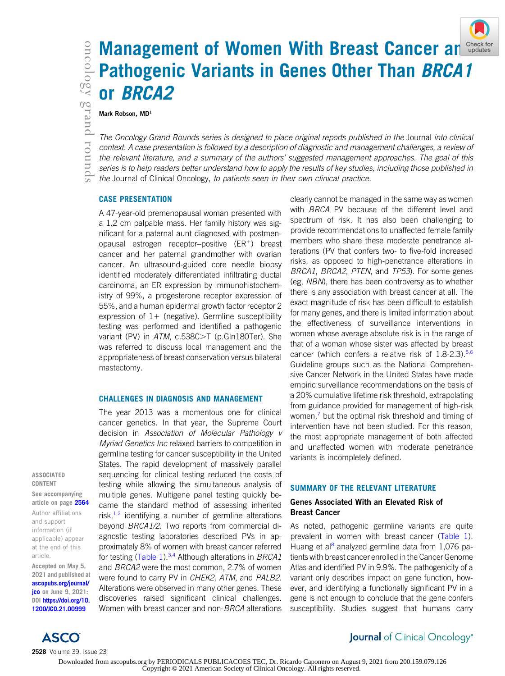# **Management of Women With Breast Cancer a[nd](http://crossmark.crossref.org/dialog/?doi=10.1200%2FJCO.21.00999&domain=pdf&date_stamp=2021-06-09) Comment of Pathogenic Variants in Genes Other Than BRCA1**<br> **Or BRCA2**<br>
Mark Robson, MD<sup>1</sup><br>
The Oncology Grand Rounds series is designed to place original reports published in th Pathogenic Variants in Genes Other Than BRCA1 or BRCA2

#### Mark Robson, MD<sup>1</sup>

The Oncology Grand Rounds series is designed to place original reports published in the Journal into clinical context. A case presentation is followed by a description of diagnostic and management challenges, a review of the relevant literature, and a summary of the authors' suggested management approaches. The goal of this series is to help readers better understand how to apply the results of key studies, including those published in the Journal of Clinical Oncology, to patients seen in their own clinical practice.

# CASE PRESENTATION

A 47-year-old premenopausal woman presented with a 1.2 cm palpable mass. Her family history was significant for a paternal aunt diagnosed with postmenopausal estrogen receptor–positive  $(ER^+)$  breast cancer and her paternal grandmother with ovarian cancer. An ultrasound-guided core needle biopsy identified moderately differentiated infiltrating ductal carcinoma, an ER expression by immunohistochemistry of 99%, a progesterone receptor expression of 55%, and a human epidermal growth factor receptor 2 expression of  $1+$  (negative). Germline susceptibility testing was performed and identified a pathogenic variant (PV) in ATM, c.538C>T (p.Gln180Ter). She was referred to discuss local management and the appropriateness of breast conservation versus bilateral mastectomy.

#### CHALLENGES IN DIAGNOSIS AND MANAGEMENT

The year 2013 was a momentous one for clinical cancer genetics. In that year, the Supreme Court decision in Association of Molecular Pathology v Myriad Genetics Inc relaxed barriers to competition in germline testing for cancer susceptibility in the United States. The rapid development of massively parallel sequencing for clinical testing reduced the costs of testing while allowing the simultaneous analysis of multiple genes. Multigene panel testing quickly became the standard method of assessing inherited risk, $1,2$  $1,2$  identifying a number of germline alterations beyond BRCA1/2. Two reports from commercial diagnostic testing laboratories described PVs in approximately 8% of women with breast cancer referred for testing [\(Table 1](#page-1-0)).<sup>[3](#page-5-2),[4](#page-5-3)</sup> Although alterations in BRCA1 and BRCA2 were the most common, 2.7% of women were found to carry PV in CHEK2, ATM, and PALB2. Alterations were observed in many other genes. These discoveries raised significant clinical challenges. Women with breast cancer and non-BRCA alterations clearly cannot be managed in the same way as women with *BRCA* PV because of the different level and spectrum of risk. It has also been challenging to provide recommendations to unaffected female family members who share these moderate penetrance alterations (PV that confers two- to five-fold increased risks, as opposed to high-penetrance alterations in BRCA1, BRCA2, PTEN, and TP53). For some genes (eg, NBN), there has been controversy as to whether there is any association with breast cancer at all. The exact magnitude of risk has been difficult to establish for many genes, and there is limited information about the effectiveness of surveillance interventions in women whose average absolute risk is in the range of that of a woman whose sister was affected by breast cancer (which confers a relative risk of  $1.8-2.3$ ).<sup>[5,](#page-5-4)[6](#page-5-5)</sup> Guideline groups such as the National Comprehensive Cancer Network in the United States have made empiric surveillance recommendations on the basis of a 20% cumulative lifetime risk threshold, extrapolating from guidance provided for management of high-risk women, $\frac{7}{7}$  $\frac{7}{7}$  $\frac{7}{7}$  but the optimal risk threshold and timing of intervention have not been studied. For this reason, the most appropriate management of both affected and unaffected women with moderate penetrance variants is incompletely defined.

#### SUMMARY OF THE RELEVANT LITERATURE

# Genes Associated With an Elevated Risk of Breast Cancer

As noted, pathogenic germline variants are quite prevalent in women with breast cancer [\(Table 1](#page-1-0)). Huang et al<sup>[8](#page-5-7)</sup> analyzed germline data from 1,076 patients with breast cancer enrolled in the Cancer Genome Atlas and identified PV in 9.9%. The pathogenicity of a variant only describes impact on gene function, however, and identifying a functionally significant PV in a gene is not enough to conclude that the gene confers susceptibility. Studies suggest that humans carry

#### ASSOCIATED CONTENT

See accompanying article on page [2564](http://ascopubs.org/doi/full/10.1200/JCO.20.01992) Author affiliations and support information (if applicable) appear at the end of this article.

Accepted on May 5, 2021 and published at [ascopubs.org/journal/](http://ascopubs.org/journal/jco) [jco](http://ascopubs.org/journal/jco) on June 9, 2021: DOI [https://doi.org/10.](http://ascopubs.org/doi/full/10.1200/JCO.21.00999) [1200/JCO.21.00999](http://ascopubs.org/doi/full/10.1200/JCO.21.00999)



2528 Volume 39, Issue 23

Journal of Clinical Oncology®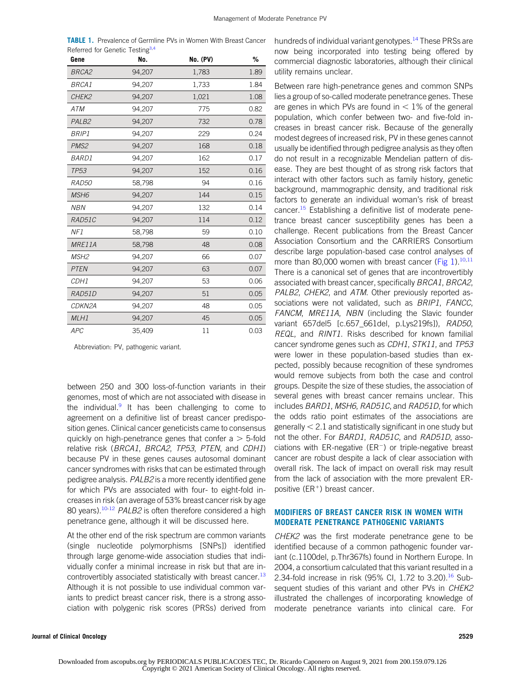<span id="page-1-0"></span>

| <b>TABLE 1.</b> Prevalence of Germline PVs in Women With Breast Cancer |  |  |
|------------------------------------------------------------------------|--|--|
| Referred for Genetic Testing <sup>3,4</sup>                            |  |  |

| Gene              | No.    | <b>No. (PV)</b> | %    |
|-------------------|--------|-----------------|------|
| BRCA2             | 94,207 | 1,783           | 1.89 |
| <b>BRCA1</b>      | 94,207 | 1,733           | 1.84 |
| CHEK2             | 94,207 | 1,021           | 1.08 |
| <b>ATM</b>        | 94,207 | 775             | 0.82 |
| PALB <sub>2</sub> | 94,207 | 732             | 0.78 |
| <b>BRIP1</b>      | 94,207 | 229             | 0.24 |
| PMS <sub>2</sub>  | 94,207 | 168             | 0.18 |
| <b>BARD1</b>      | 94,207 | 162             | 0.17 |
| <b>TP53</b>       | 94,207 | 152             | 0.16 |
| RAD50             | 58,798 | 94              | 0.16 |
| MSH <sub>6</sub>  | 94,207 | 144             | 0.15 |
| <b>NBN</b>        | 94,207 | 132             | 0.14 |
| RAD51C            | 94,207 | 114             | 0.12 |
| NF1               | 58,798 | 59              | 0.10 |
| MRE11A            | 58,798 | 48              | 0.08 |
| MSH <sub>2</sub>  | 94,207 | 66              | 0.07 |
| <b>PTEN</b>       | 94,207 | 63              | 0.07 |
| CDH1              | 94,207 | 53              | 0.06 |
| RAD51D            | 94,207 | 51              | 0.05 |
| CDKN2A            | 94,207 | 48              | 0.05 |
| MLH1              | 94,207 | 45              | 0.05 |
| <b>APC</b>        | 35,409 | 11              | 0.03 |

Abbreviation: PV, pathogenic variant.

between 250 and 300 loss-of-function variants in their genomes, most of which are not associated with disease in the individual. $9$  It has been challenging to come to agreement on a definitive list of breast cancer predisposition genes. Clinical cancer geneticists came to consensus quickly on high-penetrance genes that confer  $a > 5$ -fold relative risk (BRCA1, BRCA2, TP53, PTEN, and CDH1) because PV in these genes causes autosomal dominant cancer syndromes with risks that can be estimated through pedigree analysis. PALB2 is a more recently identified gene for which PVs are associated with four- to eight-fold increases in risk (an average of 53% breast cancer risk by age 80 years).<sup>10[-12](#page-5-10)</sup> PALB2 is often therefore considered a high penetrance gene, although it will be discussed here.

At the other end of the risk spectrum are common variants (single nucleotide polymorphisms [SNPs]) identified through large genome-wide association studies that individually confer a minimal increase in risk but that are in-controvertibly associated statistically with breast cancer.<sup>[13](#page-5-11)</sup> Although it is not possible to use individual common variants to predict breast cancer risk, there is a strong association with polygenic risk scores (PRSs) derived from

er hundreds of individual variant genotypes.<sup>[14](#page-5-12)</sup> These PRSs are now being incorporated into testing being offered by commercial diagnostic laboratories, although their clinical utility remains unclear.

Between rare high-penetrance genes and common SNPs lies a group of so-called moderate penetrance genes. These are genes in which PVs are found in  $< 1\%$  of the general population, which confer between two- and five-fold increases in breast cancer risk. Because of the generally modest degrees of increased risk, PV in these genes cannot usually be identified through pedigree analysis as they often do not result in a recognizable Mendelian pattern of disease. They are best thought of as strong risk factors that interact with other factors such as family history, genetic background, mammographic density, and traditional risk factors to generate an individual woman's risk of breast cancer.[15](#page-5-13) Establishing a definitive list of moderate penetrance breast cancer susceptibility genes has been a challenge. Recent publications from the Breast Cancer Association Consortium and the CARRIERS Consortium describe large population-based case control analyses of more than 80,000 women with breast cancer (Fig  $1$ ).<sup>[10](#page-5-9)[,11](#page-5-14)</sup> There is a canonical set of genes that are incontrovertibly associated with breast cancer, specifically BRCA1, BRCA2, PALB2, CHEK2, and ATM. Other previously reported associations were not validated, such as BRIP1, FANCC, FANCM, MRE11A, NBN (including the Slavic founder variant 657del5 [c.657\_661del, p.Lys219fs]), RAD50, REQL, and RINT1. Risks described for known familial cancer syndrome genes such as CDH1, STK11, and TP53 were lower in these population-based studies than expected, possibly because recognition of these syndromes would remove subjects from both the case and control groups. Despite the size of these studies, the association of several genes with breast cancer remains unclear. This includes BARD1, MSH6, RAD51C, and RAD51D, for which the odds ratio point estimates of the associations are generally  $< 2.1$  and statistically significant in one study but not the other. For BARD1, RAD51C, and RAD51D, associations with ER-negative (ER $^{-}$ ) or triple-negative breast cancer are robust despite a lack of clear association with overall risk. The lack of impact on overall risk may result from the lack of association with the more prevalent ERpositive  $(ER^+)$  breast cancer.

# MODIFIERS OF BREAST CANCER RISK IN WOMEN WITH MODERATE PENETRANCE PATHOGENIC VARIANTS

CHEK2 was the first moderate penetrance gene to be identified because of a common pathogenic founder variant (c.1100del, p.Thr367fs) found in Northern Europe. In 2004, a consortium calculated that this variant resulted in a 2.34-fold increase in risk (95% CI, 1.72 to 3.20).<sup>[16](#page-5-15)</sup> Subsequent studies of this variant and other PVs in CHEK2 illustrated the challenges of incorporating knowledge of moderate penetrance variants into clinical care. For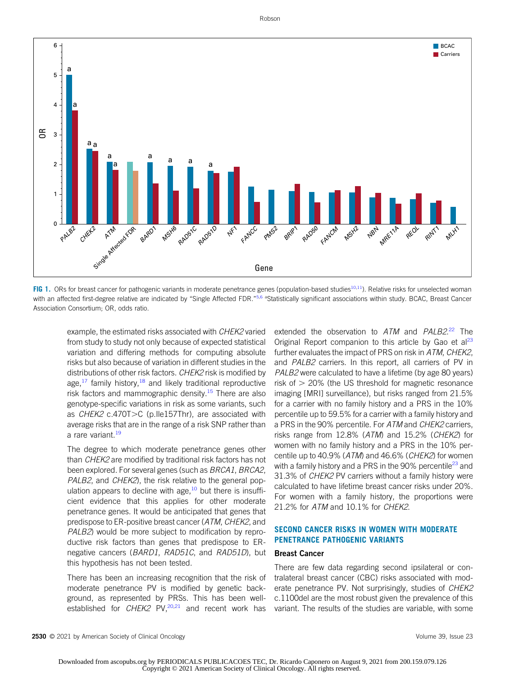

<span id="page-2-0"></span>FIG 1. ORs for breast cancer for pathogenic variants in moderate penetrance genes (population-based studies<sup>[10](#page-5-9),11</sup>). Relative risks for unselected woman with an affected first-degree relative are indicated by "Single Affected FDR."<sup>[5](#page-5-4)[,6](#page-5-5) a</sup>Statistically significant associations within study. BCAC, Breast Cancer Association Consortium; OR, odds ratio.

example, the estimated risks associated with CHEK2 varied from study to study not only because of expected statistical variation and differing methods for computing absolute risks but also because of variation in different studies in the distributions of other risk factors. CHEK2 risk is modified by age, $17$  family history, $18$  and likely traditional reproductive risk factors and mammographic density.<sup>[15](#page-5-13)</sup> There are also genotype-specific variations in risk as some variants, such as  $CHEK2$  c.470T $>C$  (p. Ile157Thr), are associated with average risks that are in the range of a risk SNP rather than a rare variant.<sup>[19](#page-5-18)</sup>

The degree to which moderate penetrance genes other than CHEK2 are modified by traditional risk factors has not been explored. For several genes (such as BRCA1, BRCA2, PALB2, and CHEK2), the risk relative to the general population appears to decline with age,  $10$  but there is insufficient evidence that this applies for other moderate penetrance genes. It would be anticipated that genes that predispose to ER-positive breast cancer (ATM, CHEK2, and PALB2) would be more subject to modification by reproductive risk factors than genes that predispose to ERnegative cancers (BARD1, RAD51C, and RAD51D), but this hypothesis has not been tested.

There has been an increasing recognition that the risk of moderate penetrance PV is modified by genetic background, as represented by PRSs. This has been wellestablished for CHEK2 PV, $^{20,21}$  $^{20,21}$  $^{20,21}$  and recent work has

extended the observation to ATM and PALB2.<sup>[22](#page-6-0)</sup> The Original Report companion to this article by Gao et  $a^{23}$ further evaluates the impact of PRS on risk in ATM, CHEK2, and PALB2 carriers. In this report, all carriers of PV in PALB2 were calculated to have a lifetime (by age 80 years) risk of  $> 20\%$  (the US threshold for magnetic resonance imaging [MRI] surveillance), but risks ranged from 21.5% for a carrier with no family history and a PRS in the 10% percentile up to 59.5% for a carrier with a family history and a PRS in the 90% percentile. For ATM and CHEK2 carriers, risks range from 12.8% (ATM) and 15.2% (CHEK2) for women with no family history and a PRS in the 10% percentile up to 40.9% (ATM) and 46.6% (CHEK2) for women with a family history and a PRS in the 90% percentile<sup>[23](#page-6-1)</sup> and 31.3% of CHEK2 PV carriers without a family history were calculated to have lifetime breast cancer risks under 20%. For women with a family history, the proportions were 21.2% for ATM and 10.1% for CHEK2.

# SECOND CANCER RISKS IN WOMEN WITH MODERATE PENETRANCE PATHOGENIC VARIANTS

# Breast Cancer

There are few data regarding second ipsilateral or contralateral breast cancer (CBC) risks associated with moderate penetrance PV. Not surprisingly, studies of CHEK2 c.1100del are the most robust given the prevalence of this variant. The results of the studies are variable, with some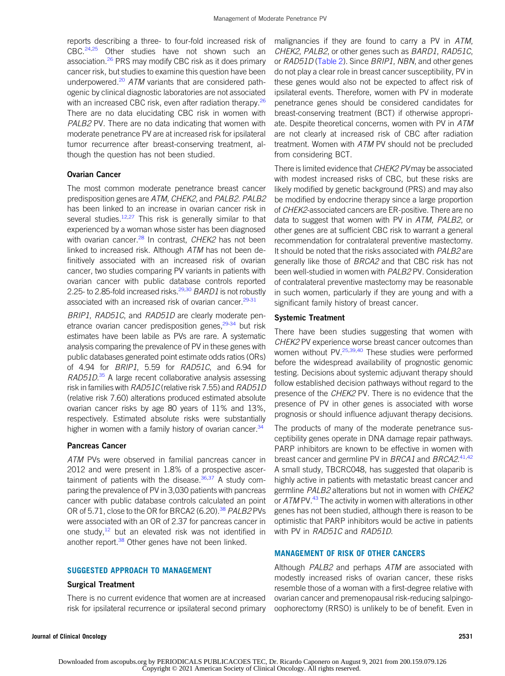reports describing a three- to four-fold increased risk of CBC.[24,](#page-6-2)[25](#page-6-3) Other studies have not shown such an association.<sup>[26](#page-6-4)</sup> PRS may modify CBC risk as it does primary cancer risk, but studies to examine this question have been underpowered.<sup>[20](#page-5-19)</sup> ATM variants that are considered pathogenic by clinical diagnostic laboratories are not associated with an increased CBC risk, even after radiation therapy.<sup>[26](#page-6-4)</sup> There are no data elucidating CBC risk in women with PALB2 PV. There are no data indicating that women with moderate penetrance PV are at increased risk for ipsilateral tumor recurrence after breast-conserving treatment, although the question has not been studied.

#### Ovarian Cancer

The most common moderate penetrance breast cancer predisposition genes are ATM, CHEK2, and PALB2. PALB2 has been linked to an increase in ovarian cancer risk in several studies. $12,27$  $12,27$  This risk is generally similar to that experienced by a woman whose sister has been diagnosed with ovarian cancer. $^{28}$  $^{28}$  $^{28}$  In contrast, CHEK2 has not been linked to increased risk. Although  $ATM$  has not been definitively associated with an increased risk of ovarian cancer, two studies comparing PV variants in patients with ovarian cancer with public database controls reported 2.25- to 2.85-fold increased risks.<sup>[29](#page-6-7)[,30](#page-6-8)</sup> BARD1 is not robustly associated with an increased risk of ovarian cancer.<sup>[29](#page-6-7)[-31](#page-6-9)</sup>

BRIP1, RAD51C, and RAD51D are clearly moderate pen-etrance ovarian cancer predisposition genes,<sup>[29](#page-6-7)[-34](#page-6-10)</sup> but risk estimates have been labile as PVs are rare. A systematic analysis comparing the prevalence of PV in these genes with public databases generated point estimate odds ratios (ORs) of 4.94 for BRIP1, 5.59 for RAD51C, and 6.94 for RAD51D.<sup>[35](#page-6-11)</sup> A large recent collaborative analysis assessing risk in families with RAD51C (relative risk 7.55) and RAD51D (relative risk 7.60) alterations produced estimated absolute ovarian cancer risks by age 80 years of 11% and 13%, respectively. Estimated absolute risks were substantially higher in women with a family history of ovarian cancer.<sup>34</sup>

#### Pancreas Cancer

ATM PVs were observed in familial pancreas cancer in 2012 and were present in 1.8% of a prospective ascertainment of patients with the disease. $36,37$  $36,37$  A study comparing the prevalence of PV in 3,030 patients with pancreas cancer with public database controls calculated an point OR of 5.71, close to the OR for BRCA2 (6.20).<sup>[38](#page-6-14)</sup> PALB2 PVs were associated with an OR of 2.37 for pancreas cancer in one study, $12$  but an elevated risk was not identified in another report.<sup>[38](#page-6-14)</sup> Other genes have not been linked.

#### SUGGESTED APPROACH TO MANAGEMENT

#### Surgical Treatment

There is no current evidence that women are at increased risk for ipsilateral recurrence or ipsilateral second primary

malignancies if they are found to carry a PV in ATM, CHEK2, PALB2, or other genes such as BARD1, RAD51C, or RAD51D [\(Table 2](#page-4-0)). Since BRIP1, NBN, and other genes do not play a clear role in breast cancer susceptibility, PV in these genes would also not be expected to affect risk of ipsilateral events. Therefore, women with PV in moderate penetrance genes should be considered candidates for breast-conserving treatment (BCT) if otherwise appropriate. Despite theoretical concerns, women with PV in ATM are not clearly at increased risk of CBC after radiation treatment. Women with ATM PV should not be precluded from considering BCT.

There is limited evidence that CHEK2 PV may be associated with modest increased risks of CBC, but these risks are likely modified by genetic background (PRS) and may also be modified by endocrine therapy since a large proportion of CHEK2-associated cancers are ER-positive. There are no data to suggest that women with PV in ATM, PALB2, or other genes are at sufficient CBC risk to warrant a general recommendation for contralateral preventive mastectomy. It should be noted that the risks associated with PALB2 are generally like those of BRCA2 and that CBC risk has not been well-studied in women with PALB2 PV. Consideration of contralateral preventive mastectomy may be reasonable in such women, particularly if they are young and with a significant family history of breast cancer.

#### Systemic Treatment

There have been studies suggesting that women with CHEK2 PV experience worse breast cancer outcomes than women without PV.<sup>[25](#page-6-3)[,39,](#page-6-15)[40](#page-6-16)</sup> These studies were performed before the widespread availability of prognostic genomic testing. Decisions about systemic adjuvant therapy should follow established decision pathways without regard to the presence of the CHEK2 PV. There is no evidence that the presence of PV in other genes is associated with worse prognosis or should influence adjuvant therapy decisions.

The products of many of the moderate penetrance susceptibility genes operate in DNA damage repair pathways. PARP inhibitors are known to be effective in women with breast cancer and germline PV in BRCA1 and BRCA2.[41](#page-6-17)[,42](#page-6-18) A small study, TBCRC048, has suggested that olaparib is highly active in patients with metastatic breast cancer and germline PALB2 alterations but not in women with CHEK2 or ATM PV.<sup>43</sup> The activity in women with alterations in other genes has not been studied, although there is reason to be optimistic that PARP inhibitors would be active in patients with PV in RAD51C and RAD51D.

# MANAGEMENT OF RISK OF OTHER CANCERS

Although PALB2 and perhaps ATM are associated with modestly increased risks of ovarian cancer, these risks resemble those of a woman with a first-degree relative with ovarian cancer and premenopausal risk-reducing salpingooophorectomy (RRSO) is unlikely to be of benefit. Even in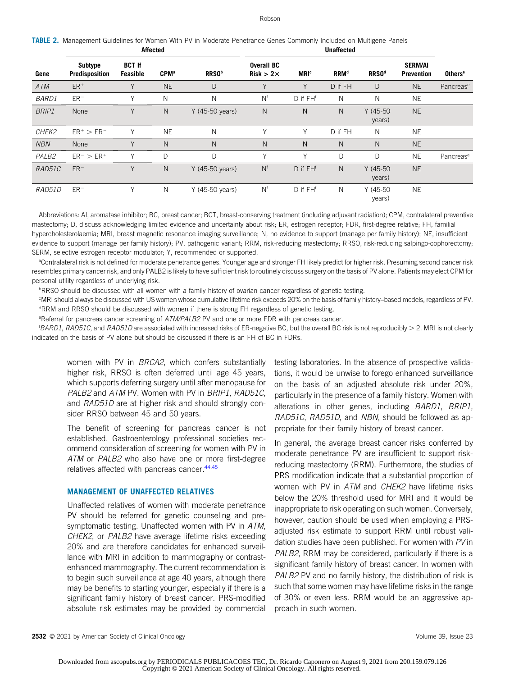#### Robson

<span id="page-4-0"></span>

| TABLE 2. Management Guidelines for Women With PV in Moderate Penetrance Genes Commonly Included on Multigene Panels |          |  |  |  |            |  |
|---------------------------------------------------------------------------------------------------------------------|----------|--|--|--|------------|--|
|                                                                                                                     | Affected |  |  |  | Unaffected |  |

| Gene         | Subtype<br>Predisposition | <b>BCT If</b><br>Feasible | <b>CPM</b> <sup>a</sup> | <b>RRSO</b> b   | <b>Overall BC</b><br>$Risk > 2 \times$ | <b>MRI</b> <sup>c</sup> | <b>RRM</b> <sup>d</sup> | <b>RRSO</b> <sup>d</sup> | <b>SERM/AI</b><br><b>Prevention</b> | <b>Others<sup>e</sup></b> |
|--------------|---------------------------|---------------------------|-------------------------|-----------------|----------------------------------------|-------------------------|-------------------------|--------------------------|-------------------------------------|---------------------------|
| ATM          | $ER+$                     | Υ                         | <b>NE</b>               | D               | $\vee$                                 | Y                       | D if FH                 | D                        | <b>NE</b>                           | Pancrease                 |
| <b>BARD1</b> | $ER-$                     | ν                         | N                       | N               | N <sup>f</sup>                         | D if FH <sup>f</sup>    | N                       | N                        | <b>NE</b>                           |                           |
| <b>BRIP1</b> | None                      | Y                         | N                       | Y (45-50 years) | N                                      | N                       | N                       | $Y(45-50)$<br>years)     | <b>NE</b>                           |                           |
| CHEK2        | $ER^+ > ER^-$             | Υ                         | <b>NE</b>               | N               | v                                      | Υ                       | D if FH                 | N                        | <b>NE</b>                           |                           |
| <b>NBN</b>   | None                      | Υ                         | $\mathsf{N}$            | N               | N                                      | N                       | N                       | N                        | <b>NE</b>                           |                           |
| PALB2        | $ER^{-}$ > $ER^{+}$       | Υ                         | D                       | D               | V                                      | Y                       | D                       | D                        | <b>NE</b>                           | Pancrease                 |
| RAD51C       | $ER-$                     | Y                         | $\mathsf{N}$            | Y (45-50 years) | N <sup>f</sup>                         | D if FH <sup>f</sup>    | N                       | $Y(45-50)$<br>years)     | <b>NE</b>                           |                           |
| RAD51D       | $ER-$                     | Y                         | N                       | Y (45-50 years) | N <sup>f</sup>                         | D if FH <sup>f</sup>    | N                       | $Y(45-50)$<br>years)     | <b>NE</b>                           |                           |

Abbreviations: AI, aromatase inhibitor; BC, breast cancer; BCT, breast-conserving treatment (including adjuvant radiation); CPM, contralateral preventive mastectomy; D, discuss acknowledging limited evidence and uncertainty about risk; ER, estrogen receptor; FDR, first-degree relative; FH, familial hypercholesterolaemia; MRI, breast magnetic resonance imaging surveillance; N, no evidence to support (manage per family history); NE, insufficient evidence to support (manage per family history); PV, pathogenic variant; RRM, risk-reducing mastectomy; RRSO, risk-reducing salpingo-oophorectomy; SERM, selective estrogen receptor modulator; Y, recommended or supported.

<sup>a</sup>Contralateral risk is not defined for moderate penetrance genes. Younger age and stronger FH likely predict for higher risk. Presuming second cancer risk resembles primary cancer risk, and only PALB2 is likely to have sufficient risk to routinely discuss surgery on the basis of PV alone. Patients may elect CPM for personal utility regardless of underlying risk.

**PRRSO** should be discussed with all women with a family history of ovarian cancer regardless of genetic testing.

c MRI should always be discussed with US women whose cumulative lifetime risk exceeds 20% on the basis of family history–based models, regardless of PV. <sup>d</sup>RRM and RRSO should be discussed with women if there is strong FH regardless of genetic testing.

eReferral for pancreas cancer screening of ATM/PALB2 PV and one or more FDR with pancreas cancer.

<sup>1</sup>BARD1, RAD51C, and RAD51D are associated with increased risks of ER-negative BC, but the overall BC risk is not reproducibly > 2. MRI is not clearly indicated on the basis of PV alone but should be discussed if there is an FH of BC in FDRs.

women with PV in BRCA2, which confers substantially higher risk, RRSO is often deferred until age 45 years, which supports deferring surgery until after menopause for PALB2 and ATM PV. Women with PV in BRIP1, RAD51C, and RAD51D are at higher risk and should strongly consider RRSO between 45 and 50 years.

The benefit of screening for pancreas cancer is not established. Gastroenterology professional societies recommend consideration of screening for women with PV in ATM or PALB2 who also have one or more first-degree relatives affected with pancreas cancer.<sup>[44](#page-6-20)[,45](#page-6-21)</sup>

#### MANAGEMENT OF UNAFFECTED RELATIVES

Unaffected relatives of women with moderate penetrance PV should be referred for genetic counseling and presymptomatic testing. Unaffected women with PV in ATM, CHEK2, or PALB2 have average lifetime risks exceeding 20% and are therefore candidates for enhanced surveillance with MRI in addition to mammography or contrastenhanced mammography. The current recommendation is to begin such surveillance at age 40 years, although there may be benefits to starting younger, especially if there is a significant family history of breast cancer. PRS-modified absolute risk estimates may be provided by commercial testing laboratories. In the absence of prospective validations, it would be unwise to forego enhanced surveillance on the basis of an adjusted absolute risk under 20%, particularly in the presence of a family history. Women with alterations in other genes, including BARD1, BRIP1, RAD51C, RAD51D, and NBN, should be followed as appropriate for their family history of breast cancer.

In general, the average breast cancer risks conferred by moderate penetrance PV are insufficient to support riskreducing mastectomy (RRM). Furthermore, the studies of PRS modification indicate that a substantial proportion of women with PV in ATM and CHEK2 have lifetime risks below the 20% threshold used for MRI and it would be inappropriate to risk operating on such women. Conversely, however, caution should be used when employing a PRSadjusted risk estimate to support RRM until robust validation studies have been published. For women with PV in PALB2, RRM may be considered, particularly if there is a significant family history of breast cancer. In women with PALB2 PV and no family history, the distribution of risk is such that some women may have lifetime risks in the range of 30% or even less. RRM would be an aggressive approach in such women.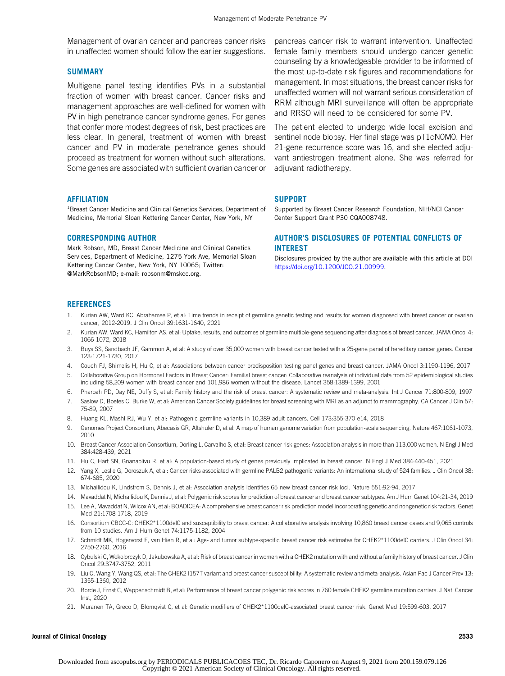Management of ovarian cancer and pancreas cancer risks in unaffected women should follow the earlier suggestions.

#### **SUMMARY**

Multigene panel testing identifies PVs in a substantial fraction of women with breast cancer. Cancer risks and management approaches are well-defined for women with PV in high penetrance cancer syndrome genes. For genes that confer more modest degrees of risk, best practices are less clear. In general, treatment of women with breast cancer and PV in moderate penetrance genes should proceed as treatment for women without such alterations. Some genes are associated with sufficient ovarian cancer or

#### **AFFILIATION**

<sup>1</sup>Breast Cancer Medicine and Clinical Genetics Services, Department of Medicine, Memorial Sloan Kettering Cancer Center, New York, NY

#### CORRESPONDING AUTHOR

Mark Robson, MD, Breast Cancer Medicine and Clinical Genetics Services, Department of Medicine, 1275 York Ave, Memorial Sloan Kettering Cancer Center, New York, NY 10065; Twitter: @MarkRobsonMD; e-mail: [robsonm@mskcc.org.](mailto:robsonm@mskcc.org)

pancreas cancer risk to warrant intervention. Unaffected female family members should undergo cancer genetic counseling by a knowledgeable provider to be informed of the most up-to-date risk figures and recommendations for management. In most situations, the breast cancer risks for unaffected women will not warrant serious consideration of RRM although MRI surveillance will often be appropriate and RRSO will need to be considered for some PV.

The patient elected to undergo wide local excision and sentinel node biopsy. Her final stage was pT1cN0M0. Her 21-gene recurrence score was 16, and she elected adjuvant antiestrogen treatment alone. She was referred for adjuvant radiotherapy.

# **SUPPORT**

Supported by Breast Cancer Research Foundation, NIH/NCI Cancer Center Support Grant P30 CQA008748.

# AUTHOR'S DISCLOSURES OF POTENTIAL CONFLICTS OF INTEREST

Disclosures provided by the author are available with this article at DOI [https://doi.org/10.1200/JCO.21.00999.](https://ascopubs.org/doi/full/10.1200/JCO.21.00999)

#### **REFERENCES**

- <span id="page-5-0"></span>1. Kurian AW, Ward KC, Abrahamse P, et al: Time trends in receipt of germline genetic testing and results for women diagnosed with breast cancer or ovarian cancer, 2012-2019. J Clin Oncol 39:1631-1640, 2021
- <span id="page-5-1"></span>2. Kurian AW, Ward KC, Hamilton AS, et al: Uptake, results, and outcomes of germline multiple-gene sequencing after diagnosis of breast cancer. JAMA Oncol 4: 1066-1072, 2018
- <span id="page-5-2"></span>3. Buys SS, Sandbach JF, Gammon A, et al: A study of over 35,000 women with breast cancer tested with a 25-gene panel of hereditary cancer genes. Cancer 123:1721-1730, 2017
- <span id="page-5-3"></span>4. Couch FJ, Shimelis H, Hu C, et al: Associations between cancer predisposition testing panel genes and breast cancer. JAMA Oncol 3:1190-1196, 2017
- <span id="page-5-4"></span>5. Collaborative Group on Hormonal Factors in Breast Cancer: Familial breast cancer: Collaborative reanalysis of individual data from 52 epidemiological studies including 58,209 women with breast cancer and 101,986 women without the disease. Lancet 358:1389-1399, 2001
- <span id="page-5-5"></span>6. Pharoah PD, Day NE, Duffy S, et al: Family history and the risk of breast cancer: A systematic review and meta-analysis. Int J Cancer 71:800-809, 1997
- <span id="page-5-6"></span>7. Saslow D, Boetes C, Burke W, et al: American Cancer Society guidelines for breast screening with MRI as an adjunct to mammography. CA Cancer J Clin 57: 75-89, 2007
- <span id="page-5-7"></span>8. Huang KL, Mashl RJ, Wu Y, et al: Pathogenic germline variants in 10,389 adult cancers. Cell 173:355-370 e14, 2018
- <span id="page-5-8"></span>9. Genomes Project Consortium, Abecasis GR, Altshuler D, et al: A map of human genome variation from population-scale sequencing. Nature 467:1061-1073, 2010
- <span id="page-5-9"></span>10. Breast Cancer Association Consortium, Dorling L, Carvalho S, et al: Breast cancer risk genes: Association analysis in more than 113,000 women. N Engl J Med 384:428-439, 2021
- <span id="page-5-14"></span>11. Hu C, Hart SN, Gnanaolivu R, et al: A population-based study of genes previously implicated in breast cancer. N Engl J Med 384:440-451, 2021
- <span id="page-5-10"></span>12. Yang X, Leslie G, Doroszuk A, et al: Cancer risks associated with germline PALB2 pathogenic variants: An international study of 524 families. J Clin Oncol 38: 674-685, 2020
- <span id="page-5-11"></span>13. Michailidou K, Lindstrom S, Dennis J, et al: Association analysis identifies 65 new breast cancer risk loci. Nature 551:92-94, 2017
- <span id="page-5-12"></span>14. Mavaddat N, Michailidou K, Dennis J, et al: Polygenic risk scores for prediction of breast cancer and breast cancer subtypes. Am J Hum Genet 104:21-34, 2019
- <span id="page-5-13"></span>15. Lee A, Mavaddat N, Wilcox AN, et al: BOADICEA: A comprehensive breast cancer risk prediction model incorporating genetic and nongenetic risk factors. Genet Med 21:1708-1718, 2019
- <span id="page-5-15"></span>16. Consortium CBCC-C: CHEK2\*1100delC and susceptibility to breast cancer: A collaborative analysis involving 10,860 breast cancer cases and 9,065 controls from 10 studies. Am J Hum Genet 74:1175-1182, 2004
- <span id="page-5-16"></span>17. Schmidt MK, Hogervorst F, van Hien R, et al: Age- and tumor subtype-specific breast cancer risk estimates for CHEK2\*1100delC carriers. J Clin Oncol 34: 2750-2760, 2016
- <span id="page-5-17"></span>18. Cybulski C, Wokolorczyk D, Jakubowska A, et al: Risk of breast cancer in women with a CHEK2 mutation with and without a family history of breast cancer. J Clin Oncol 29:3747-3752, 2011
- <span id="page-5-18"></span>19. Liu C, Wang Y, Wang QS, et al: The CHEK2 I157T variant and breast cancer susceptibility: A systematic review and meta-analysis. Asian Pac J Cancer Prev 13: 1355-1360, 2012
- <span id="page-5-19"></span>20. Borde J, Ernst C, Wappenschmidt B, et al: Performance of breast cancer polygenic risk scores in 760 female CHEK2 germline mutation carriers. J Natl Cancer Inst, 2020
- <span id="page-5-20"></span>21. Muranen TA, Greco D, Blomqvist C, et al: Genetic modifiers of CHEK2\*1100delC-associated breast cancer risk. Genet Med 19:599-603, 2017

#### Journal of Clinical Oncology 2533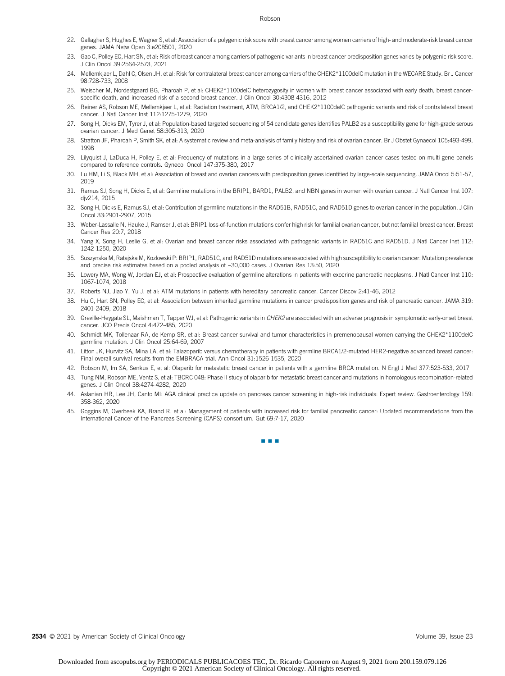#### Robson

- <span id="page-6-0"></span>22. Gallagher S, Hughes E, Wagner S, et al: Association of a polygenic risk score with breast cancer among women carriers of high- and moderate-risk breast cancer genes. JAMA Netw Open 3:e208501, 2020
- <span id="page-6-1"></span>23. Gao C, Polley EC, Hart SN, et al: Risk of breast cancer among carriers of pathogenic variants in breast cancer predisposition genes varies by polygenic risk score. J Clin Oncol 39:2564-2573, 2021
- <span id="page-6-2"></span>24. Mellemkjaer L, Dahl C, Olsen JH, et al: Risk for contralateral breast cancer among carriers of the CHEK2\*1100delC mutation in the WECARE Study. Br J Cancer 98:728-733, 2008
- <span id="page-6-3"></span>25. Weischer M, Nordestgaard BG, Pharoah P, et al: CHEK2\*1100delC heterozygosity in women with breast cancer associated with early death, breast cancerspecific death, and increased risk of a second breast cancer. J Clin Oncol 30:4308-4316, 2012
- <span id="page-6-4"></span>26. Reiner AS, Robson ME, Mellemkjaer L, et al: Radiation treatment, ATM, BRCA1/2, and CHEK2\*1100delC pathogenic variants and risk of contralateral breast cancer. J Natl Cancer Inst 112:1275-1279, 2020
- <span id="page-6-5"></span>27. Song H, Dicks EM, Tyrer J, et al: Population-based targeted sequencing of 54 candidate genes identifies PALB2 as a susceptibility gene for high-grade serous ovarian cancer. J Med Genet 58:305-313, 2020
- <span id="page-6-6"></span>28. Stratton JF, Pharoah P, Smith SK, et al: A systematic review and meta-analysis of family history and risk of ovarian cancer. Br J Obstet Gynaecol 105:493-499, 1998
- <span id="page-6-7"></span>29. Lilyquist J, LaDuca H, Polley E, et al: Frequency of mutations in a large series of clinically ascertained ovarian cancer cases tested on multi-gene panels compared to reference controls. Gynecol Oncol 147:375-380, 2017
- <span id="page-6-8"></span>30. Lu HM, Li S, Black MH, et al: Association of breast and ovarian cancers with predisposition genes identified by large-scale sequencing. JAMA Oncol 5:51-57, 2019
- <span id="page-6-9"></span>31. Ramus SJ, Song H, Dicks E, et al: Germline mutations in the BRIP1, BARD1, PALB2, and NBN genes in women with ovarian cancer. J Natl Cancer Inst 107: djv214, 2015
- 32. Song H, Dicks E, Ramus SJ, et al: Contribution of germline mutations in the RAD51B, RAD51C, and RAD51D genes to ovarian cancer in the population. J Clin Oncol 33:2901-2907, 2015
- 33. Weber-Lassalle N, Hauke J, Ramser J, et al: BRIP1 loss-of-function mutations confer high risk for familial ovarian cancer, but not familial breast cancer. Breast Cancer Res 20:7, 2018
- <span id="page-6-10"></span>34. Yang X, Song H, Leslie G, et al: Ovarian and breast cancer risks associated with pathogenic variants in RAD51C and RAD51D. J Natl Cancer Inst 112: 1242-1250, 2020
- <span id="page-6-11"></span>35. Suszynska M, Ratajska M, Kozlowski P: BRIP1, RAD51C, and RAD51D mutations are associated with high susceptibility to ovarian cancer: Mutation prevalence and precise risk estimates based on a pooled analysis of ~30,000 cases. J Ovarian Res 13:50, 2020
- <span id="page-6-12"></span>36. Lowery MA, Wong W, Jordan EJ, et al: Prospective evaluation of germline alterations in patients with exocrine pancreatic neoplasms. J Natl Cancer Inst 110: 1067-1074, 2018
- <span id="page-6-13"></span>37. Roberts NJ, Jiao Y, Yu J, et al: ATM mutations in patients with hereditary pancreatic cancer. Cancer Discov 2:41-46, 2012
- <span id="page-6-14"></span>38. Hu C, Hart SN, Polley EC, et al: Association between inherited germline mutations in cancer predisposition genes and risk of pancreatic cancer. JAMA 319: 2401-2409, 2018
- <span id="page-6-15"></span>39. Greville-Heygate SL, Maishman T, Tapper WJ, et al: Pathogenic variants in CHEK2 are associated with an adverse prognosis in symptomatic early-onset breast cancer. JCO Precis Oncol 4:472-485, 2020
- <span id="page-6-16"></span>40. Schmidt MK, Tollenaar RA, de Kemp SR, et al: Breast cancer survival and tumor characteristics in premenopausal women carrying the CHEK2\*1100delC germline mutation. J Clin Oncol 25:64-69, 2007
- <span id="page-6-17"></span>41. Litton JK, Hurvitz SA, Mina LA, et al: Talazoparib versus chemotherapy in patients with germline BRCA1/2-mutated HER2-negative advanced breast cancer: Final overall survival results from the EMBRACA trial. Ann Oncol 31:1526-1535, 2020
- <span id="page-6-18"></span>42. Robson M, Im SA, Senkus E, et al: Olaparib for metastatic breast cancer in patients with a germline BRCA mutation. N Engl J Med 377:523-533, 2017
- <span id="page-6-19"></span>43. Tung NM, Robson ME, Ventz S, et al: TBCRC 048: Phase II study of olaparib for metastatic breast cancer and mutations in homologous recombination-related genes. J Clin Oncol 38:4274-4282, 2020
- <span id="page-6-20"></span>44. Aslanian HR, Lee JH, Canto MI: AGA clinical practice update on pancreas cancer screening in high-risk individuals: Expert review. Gastroenterology 159: 358-362, 2020
- <span id="page-6-21"></span>45. Goggins M, Overbeek KA, Brand R, et al: Management of patients with increased risk for familial pancreatic cancer: Updated recommendations from the International Cancer of the Pancreas Screening (CAPS) consortium. Gut 69:7-17, 2020

n-a-a